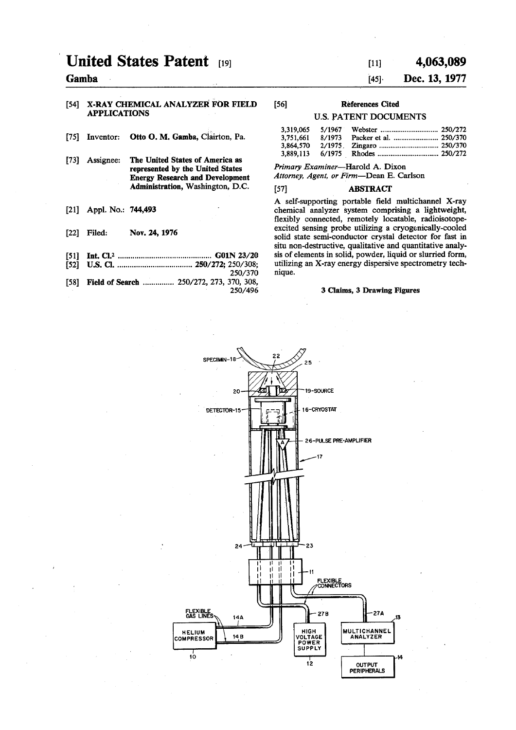# **United States Patent [19]**

# **Gamba**

#### **[54] X-RAY CHEMICAL ANALYZER FOR FIELD APPLICATIONS**

- **[75] Inventor: Otto O. M. Gamba, Ciairton, Pa.**
- **[73] Assignee: The United States of America as represented by the United States Energy Research and Development Administration, Washington, D.C.**
- **[21] Appl. No.: 744,493**
- **[22] Filed: Nov. 24, 1976**
- **[51] Int. CI.\* G01N 23/20**
- **[52] U.S. Q 250/272; 250/308; 250/370**
- [58] **Field of Search ............... 250/272, 273, 370, 308, 250/496**

# **[ii] 4,063,089**

# **[45] Dec. 13, 1977**

# **[56] References Cited**

#### **U.S. PATENT DOCUMENTS**

| 3,319,065<br>5/1967 |  |
|---------------------|--|
| 3,751,661<br>8/1973 |  |
| 2/1975<br>3,864,570 |  |
| 3,889,113           |  |
|                     |  |

*Primary Examiner—***Harold A. Dixon**  *Attorney, Agent, or Firm***—Dean E. Carlson** 

# **[57] ABSTRACT**

**A self-supporting portable field multichannel X-ray chemical analyzer system comprising a lightweight, flexibly connected, remotely locatable, radioisotopeexcited sensing probe utilizing a cryogenically-cooled solid state semi-conductor crystal detector for fast in situ non-destructive, qualitative and quantitative analysis of elements in solid, powder, liquid or slurried form, utilizing an X-ray energy dispersive spectrometry technique.** 

## **3 Claims, 3 Drawing Figures**

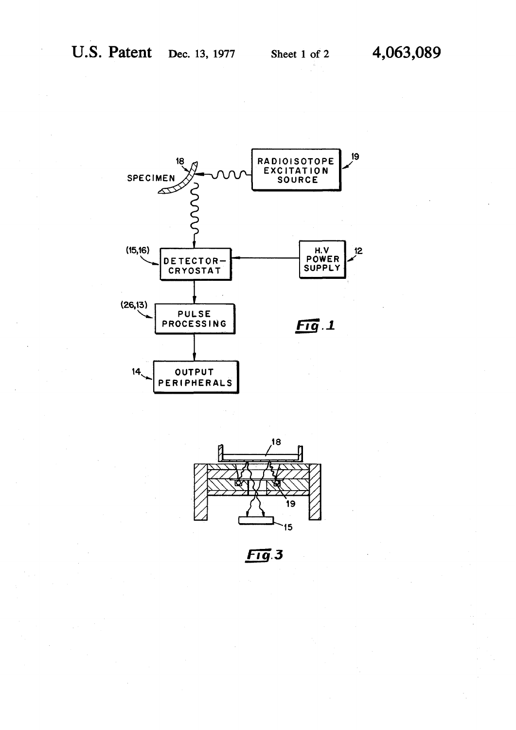



 $Fig.3$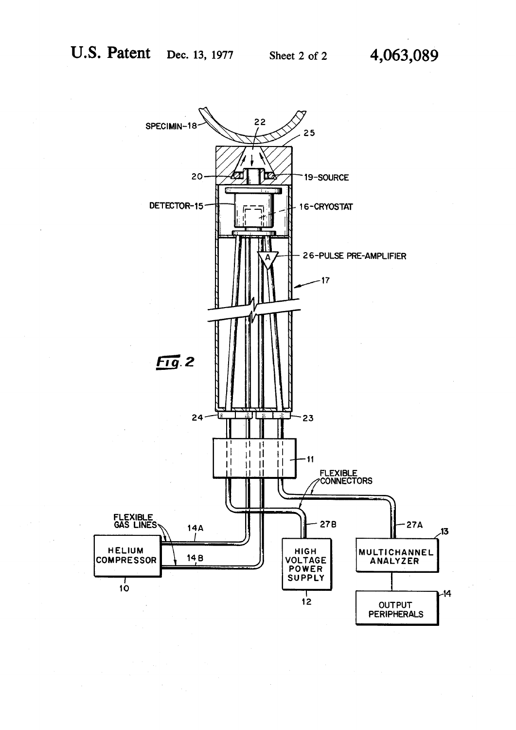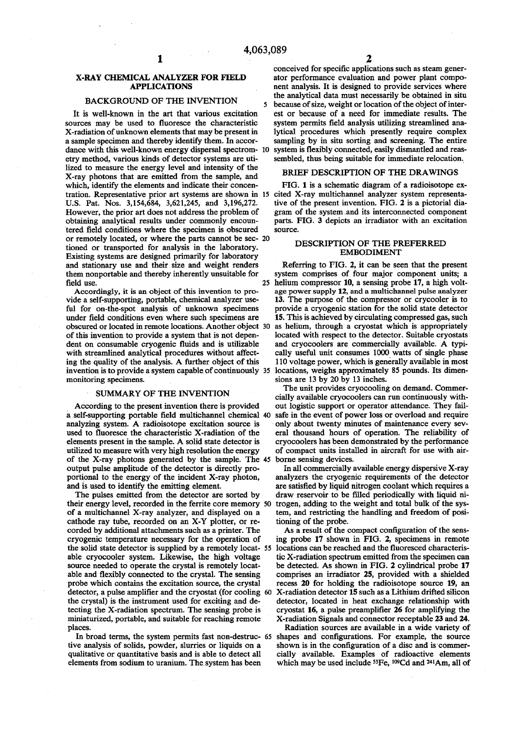#### **X-RAY CHEMICAL ANALYZER FOR FIELD APPLICATIONS**

# **BACKGROUND OF THE INVENTION**

**It is well-known in the art that various excitation sources may be used to fluoresce the characteristic X-radiation of unknown elements that may be present in a sample specimen and thereby identify them. In accordance with this well-known energy dispersal spectrometry method, various kinds of detector systems are utilized to measure the energy level and intensity of the X-ray photons that are emitted from the sample, and which, identify the elements and indicate their concentration. Representative prior art systems are shown in 15 cited X-ray multichannel analyzer system representa-U.S. Pat. Nos. 3,154,684, 3,621,245, and 3,196,272. However, the prior art does not address the problem of obtaining analytical results under commonly encountered field conditions where the specimen is obscured or remotely located, or where the parts cannot be sec-2 0 tioned or transported for analysis in the laboratory. Existing systems are designed primarily for laboratory and stationary use and their size and weight renders them nonportable and thereby inherently unsuitable for field use.** 

**Accordingly, it is an object of this invention to provide a self-supporting, portable, chemical analyzer useful for on-the-spot analysis of unknown specimens under field conditions even where such specimens are obscured or located in remote locations. Another object of this invention to provide a system that is not dependent on consumable cryogenic fluids and is utilizable with streamlined analytical procedures without affecting the quality of the analysis. A further object of this invention is to provide a system capable of continuously monitoring specimens.** 

### **SUMMARY OF THE INVENTION**

**According to the present invention there is provided a self-supporting portable field multichannel chemical analyzing system. A radioisotope excitation source is used to fluoresce the characteristic X-radiation of the elements present in the sample. A solid state detector is utilized to measure with very high resolution the energy of the X-ray photons generated by the sample. The output pulse amplitude of the detector is directly proportional to the energy of the incident X-ray photon, and is used to identify the emitting element.** 

**The pulses emitted from the detector are sorted by their energy level, recorded in the ferrite core memory of a multichannel X-ray analyzer, and displayed on a cathode ray tube, recorded on an X-Y plotter, or recorded by additional attachments such as a printer. The cryogenic temperature necessary for the operation of the solid state detector is supplied by a remotely locatable cryocooler system. Likewise, the high voltage source needed to operate the crystal is remotely locatable and flexibly connected to the crystal. The sensing probe which contains the excitation source, the crystal detector, a pulse amplifier and the cryostat (for cooling the crystal) is the instrument used for exciting and detecting the X-radiation spectrum. The sensing probe is miniaturized, portable, and suitable for reaching remote places.** 

**tive analysis of solids, powder, slurries or liquids on a qualitative or quantitative basis and is able to detect all elements from sodium to uranium. The system has been** 

**conceived for specific applications such as steam generator performance evaluation and power plant component analysis. It is designed to provide services where the analytical data must necessarily be obtained in situ 5 because of size, weight or location of the object of interest or because of a need for immediate results. The system permits field analysis utilizing streamlined analytical procedures which presently require complex sampling by in situ sorting and screening. The entire**  system is flexibly connected, easily dismantled and reas**sembled, thus being suitable for immediate relocation.** 

#### **BRIEF DESCRIPTION OF THE DRAWINGS**

**FIG. 1 is a schematic diagram of a radioisotope extive of the present invention. FIG. 2 is a pictorial diagram of the system and its interconnected component parts. FIG. 3 depicts an irradiator with an excitation source.** 

## **DESCRIPTION OF THE PREFERRED EMBODIMENT**

**Referring to FIG. 2, it can be seen that the present system comprises of four major component units; a 25 helium compressor 10, a sensing probe 17, a high voltage power supply 12, and a multichannel pulse analyzer 13. The purpose of the compressor or crycooler is to provide a cryogenic station for the solid state detector 15. This is achieved by circulating compressed gas, such 30 as helium, through a cryostat which is appropriately located with respect to the detector. Suitable cryostats and cryocoolers are commercially available. A typically useful unit consumes 1000 watts of single phase 110 voltage power, which is generally available in most 35 locations, weighs approximately 85 pounds. Its dimensions are 13 by 20 by 13 inches.** 

**The unit provides cryocooling on demand. Commercially available cryocoolers can run continuously without logistic support or operator attendance. They fail**safe in the event of power loss or overload and require **only about twenty minutes of maintenance every several thousand hours of operation. The reliability of cryocoolers has been demonstrated by the performance of compact units installed in aircraft for use with air-45 borne sensing devices.** 

**In all commercially available energy dispersive X-ray analyzers the cryogenic requirements of the detector are satisfied by liquid nitrogen coolant which requires a draw reservoir to be filled periodically with liquid ni-50 trogen, adding to the weight and total bulk of the system, and restricting the handling and freedom of positioning of the probe.** 

**As a result of the compact configuration of the sensing probe 17 shown in FIG. 2, specimens in remote 55 locations can be reached and the fluoresced characteristic X-radiation spectrum emitted from the specimen can be detected. As shown in FIG. 2 cylindrical probe 17 comprises an irradiator 25, provided with a shielded recess 20 for holding the radioisotope source 19, an 60 X-radiation detector 15 such as a Lithium drifted silicon detector, located in heat exchange relationship with cryostat 16, a pulse preamplifier 26 for amplifying the X-radiation Signals and connector receptable 23 and 24.** 

**In broad terms, the system permits fast non-destruc-65 shapes and configurations. For example, the source Radiation sources are available in a wide variety of shown is in the configuration of a disc and is commercially available. Examples of radioactive elements which may be used include <sup>55</sup>Fe, <sup>109</sup>Cd and 2+1 Am, all of**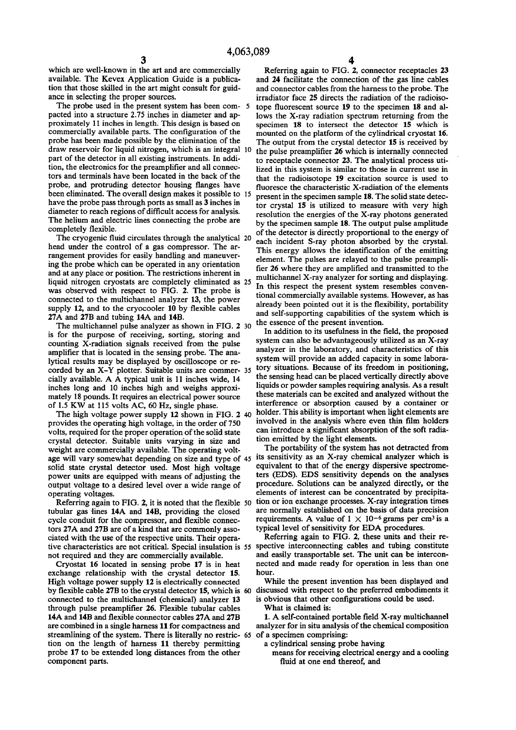**which are well-known in the art and are commercially available. The Kevex Application Guide is a publication that those skilled in the art might consult for guidance in selecting the proper sources.** 

**The probe used in the present system has been com- 5 pacted into a structure 2.75 inches in diameter and approximately 11 inches in length. This design is based on commercially available parts. The configuration of the probe has been made possible by the elimination of the draw reservoir for liquid nitrogen, which is an integral 10 part of the detector in all existing instruments. In addition, the electronics for the preamplifier and all connectors and terminals have been located in the back of the probe, and protruding detector housing flanges have been eliminated. The overall design makes it possible to 15 have the probe pass through ports as small as 3 inches in diameter to reach regions of difficult access for analysis. The helium and electric lines connecting the probe are completely flexible.** 

**The cryogenic fluid circulates through the analytical 20 head under the control of a gas compressor. The arrangement provides for easily handling and maneuvering the probe which can be operated in any orientation and at any place or position. The restrictions inherent in liquid nitrogen cryostats are completely eliminated as 25 was observed with respect to FIG. 2. The probe is connected to the multichannel analyzer 13, the power supply 12, and to the cryocooler 10 by flexible cables 27A and 27B and tubing 14A and 14B.** 

**The multichannel pulse analyzer as shown in FIG. 2 30 is for the purpose of receiving, sorting, storing and counting X-radiation signals received from the pulse amplifier that is located in the sensing probe. The analytical results may be displayed by oscilloscope or recorded by an X-Y plotter. Suitable units are commer- 35 cially available. A A typical unit is 11 inches wide, 14 inches long and 10 inches high and weighs approximately 18 pounds. It requires an electrical power source of 1.5 KW at 115 volts AC, 60 Hz, single phase.** 

**The high voltage power supply 12 shown in FIG. 2 40 provides the operating high voltage, in the order of 750 volts, required for the proper operation of the solid state crystal detector. Suitable units varying in size and weight are commercially available. The operating voltage will vary somewhat depending on size and type of 45 its sensitivity as an X-ray chemical analyzer which is solid state crystal detector used. Most high voltage power units are equipped with means of adjusting the output voltage to a desired level over a wide range of operating voltages.** 

**Referring again to FIG. 2, it is noted that the flexible 50 tubular gas lines 14A and 14B, providing the closed cycle conduit for the compressor, and flexible connectors 27A and 27B are of a kind that are commonly associated with the use of the respective units. Their operative characteristics are not critical. Special insulation is 55 spective interconnecting cables and tubing constitute not required and they are commercially available.** 

**Cryostat 16 located in sensing probe 17 is in heat exchange relationship with the crystal detector 15. High voltage power supply 12 is electrically connected by flexible cable 27B to the crystal detector 15, which is 60 connected to the multichannel (chemical) analyzer 13 through pulse preamplifier 26. Flexible tubular cables 14A and 14B and flexible connector cables 27A and 27B are combined in a single harness 11 for compactness and streamlining of the system. There is literally no restric- 65 tion on the length of harness 11 thereby permitting probe 17 to be extended long distances from the other component parts.** 

**Referring again to FIG. 2, connector receptacles 23 and 24 facilitate the connection of the gas line cables and connector cables from the harness to the probe. The irradiator face 25 directs the radiation of the radioisotope fluorescent source 19 to the specimen 18 and allows the X-ray radiation spectrum returning from the specimen 18 to intersect the detector 15 which is mounted on the platform of the cylindrical cryostat 16. The output from the crystal detector 15 is received by the pulse preamplifier 26 which is internally connected to receptacle connector 23. The analytical process utilized in this system is similar to those in current use in that the radioisotope 19 excitation source is used to fluoresce the characteristic X-radiation of the elements present in the specimen sample 18. The solid state detector crystal 15 is utilized to measure with very high resolution the energies of the X-ray photons generated by the specimen sample 18. The output pulse amplitude of the detector is directly proportional to the energy of each incident S-ray photon absorbed by the crystal. This energy allows the identification of the emitting element. The pulses are relayed to the pulse preamplifier 26 where they are amplified and transmitted to the multichannel X-ray analyzer for sorting and displaying. Indichance A-lay analyzer for sorting and displaying.** In this respect the present system resembles conventional commercially available systems. However, as has already been pointed out it is the flexibility, portability and self-supporting capabilities of the system which is the essence of the present invention.

**In addition to its usefulness in the field, the proposed system can also be advantageously utilized as an X-ray analyzer in the laboratory, and characteristics of this system will provide an added capacity in some laboratory situations. Because of its freedom in positioning, the sensing head can be placed vertically directly above liquids or powder samples requiring analysis. As a result these materials can be excited and analyzed without the interference or absorption caused by a container or holder. This ability is important when light elements are involved in the analysis where even thin film holders can introduce a significant absorption of the soft radiation emitted by the light elements.** 

**The portability of the system has not detracted from equivalent to that of the energy dispersive spectrometers (EDS). EDS sensitivity depends on the analyses procedure. Solutions can be analyzed directly, or the elements of interest can be concentrated by precipitation or ion exchange processes. X-ray integration times are normally established on the basis of data precision requirements.** A value of  $1 \times 10^{-6}$  grams per cm<sup>3</sup> is a typical level of sensitivity for EDA procedures.

**Referring again to FIG. 2, these units and their reand easily transportable set. The unit can be interconnected and made ready for operation in less than one hour.** 

**While the present invention has been displayed and discussed with respect to the preferred embodiments it is obvious that other configurations could be used.** 

**What is claimed is:** 

**1. A self-contained portable field X-ray multichannel analyzer for in situ analysis of the chemical composition of a specimen comprising:** 

**a cylindrical sensing probe having** 

**means for receiving electrical energy and a cooling fluid at one end thereof, and**